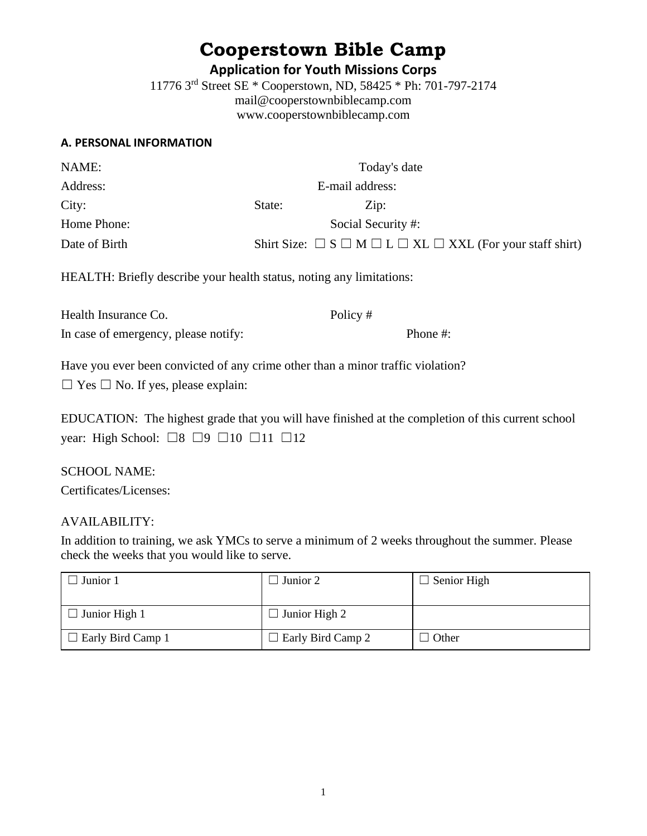# **Cooperstown Bible Camp**

**Application for Youth Missions Corps**

11776 3rd Street SE \* Cooperstown, ND, 58425 \* Ph: 701-797-2174 mail@cooperstownbiblecamp.com www.cooperstownbiblecamp.com

#### **A. PERSONAL INFORMATION**

| NAME:         |                 | Today's date                                                                                      |
|---------------|-----------------|---------------------------------------------------------------------------------------------------|
| Address:      | E-mail address: |                                                                                                   |
| City:         | State:          | $\operatorname{Zip:}$                                                                             |
| Home Phone:   |                 | Social Security #:                                                                                |
| Date of Birth |                 | Shirt Size: $\square$ S $\square$ M $\square$ L $\square$ XL $\square$ XXL (For your staff shirt) |

HEALTH: Briefly describe your health status, noting any limitations:

| Health Insurance Co.                 | Policy # |          |
|--------------------------------------|----------|----------|
| In case of emergency, please notify: |          | Phone #: |

Have you ever been convicted of any crime other than a minor traffic violation?

 $\Box$  Yes  $\Box$  No. If yes, please explain:

EDUCATION: The highest grade that you will have finished at the completion of this current school year: High School:  $\Box 8 \Box 9 \Box 10 \Box 11 \Box 12$ 

## SCHOOL NAME:

Certificates/Licenses:

## AVAILABILITY:

In addition to training, we ask YMCs to serve a minimum of 2 weeks throughout the summer. Please check the weeks that you would like to serve.

| Junior 1                 | Junior 2                 | $\Box$ Senior High |
|--------------------------|--------------------------|--------------------|
| $\Box$ Junior High 1     | $\Box$ Junior High 2     |                    |
| $\Box$ Early Bird Camp 1 | $\Box$ Early Bird Camp 2 | <b>Other</b>       |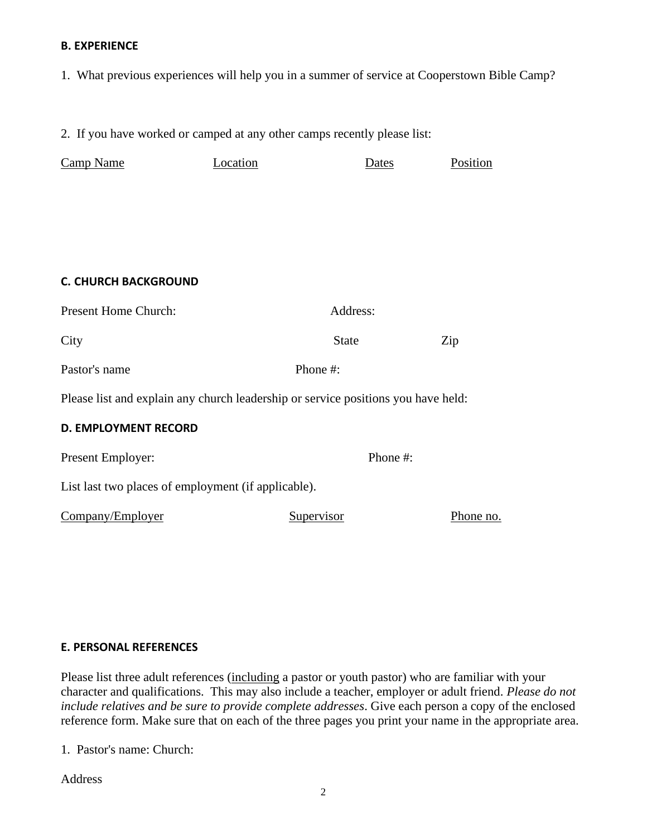#### **B. EXPERIENCE**

1. What previous experiences will help you in a summer of service at Cooperstown Bible Camp?

2. If you have worked or camped at any other camps recently please list:

| Camp Name                                                                         | Location | Dates        | Position  |  |
|-----------------------------------------------------------------------------------|----------|--------------|-----------|--|
|                                                                                   |          |              |           |  |
|                                                                                   |          |              |           |  |
|                                                                                   |          |              |           |  |
|                                                                                   |          |              |           |  |
| <b>C. CHURCH BACKGROUND</b>                                                       |          |              |           |  |
| Present Home Church:                                                              |          | Address:     |           |  |
| City                                                                              |          | <b>State</b> | Zip       |  |
| Pastor's name                                                                     |          | Phone #:     |           |  |
| Please list and explain any church leadership or service positions you have held: |          |              |           |  |
| <b>D. EMPLOYMENT RECORD</b>                                                       |          |              |           |  |
| Present Employer:                                                                 |          | Phone #:     |           |  |
| List last two places of employment (if applicable).                               |          |              |           |  |
| Company/Employer                                                                  |          | Supervisor   | Phone no. |  |

#### **E. PERSONAL REFERENCES**

Please list three adult references (including a pastor or youth pastor) who are familiar with your character and qualifications. This may also include a teacher, employer or adult friend. *Please do not include relatives and be sure to provide complete addresses*. Give each person a copy of the enclosed reference form. Make sure that on each of the three pages you print your name in the appropriate area.

1. Pastor's name: Church:

Address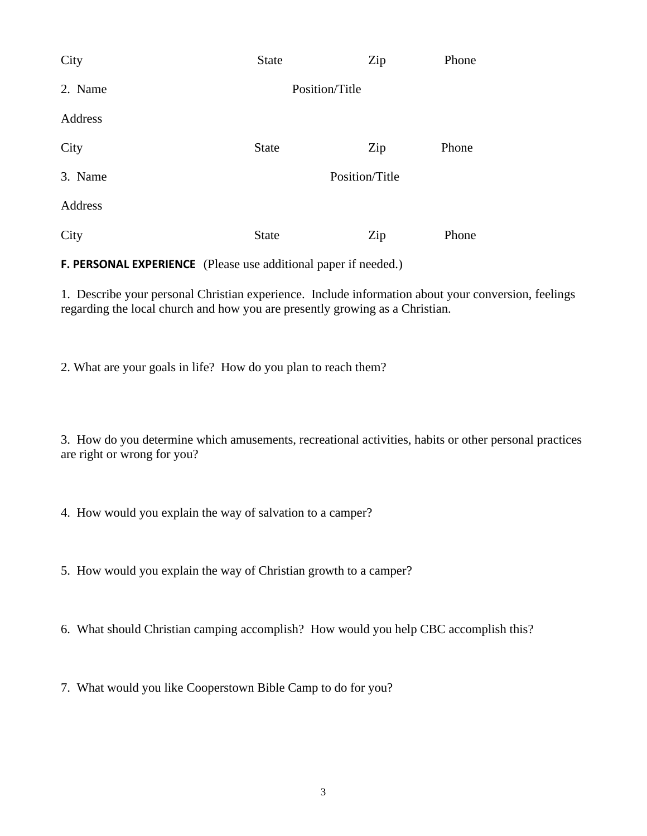| City    | <b>State</b>   | Zip            | Phone |
|---------|----------------|----------------|-------|
| 2. Name | Position/Title |                |       |
| Address |                |                |       |
| City    | <b>State</b>   | Zip            | Phone |
| 3. Name |                | Position/Title |       |
| Address |                |                |       |
| City    | <b>State</b>   | Zip            | Phone |

**F. PERSONAL EXPERIENCE** (Please use additional paper if needed.)

1. Describe your personal Christian experience. Include information about your conversion, feelings regarding the local church and how you are presently growing as a Christian.

2. What are your goals in life? How do you plan to reach them?

3. How do you determine which amusements, recreational activities, habits or other personal practices are right or wrong for you?

4. How would you explain the way of salvation to a camper?

5. How would you explain the way of Christian growth to a camper?

6. What should Christian camping accomplish? How would you help CBC accomplish this?

7. What would you like Cooperstown Bible Camp to do for you?